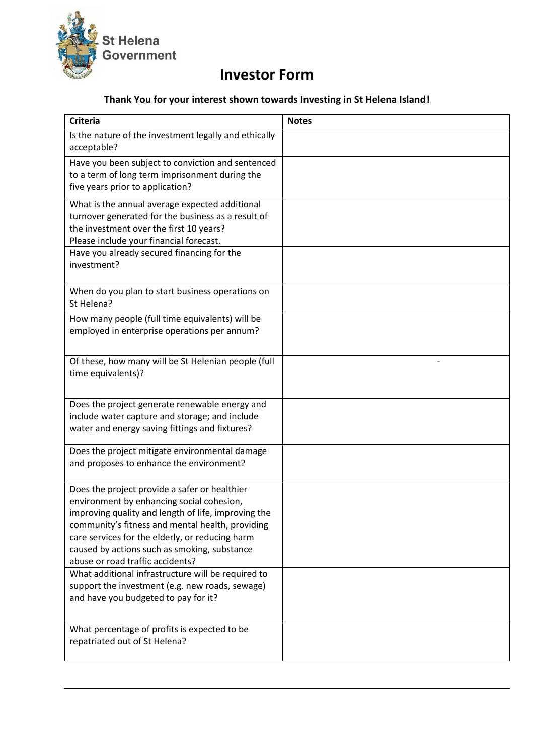

## **Investor Form**

## **Thank You for your interest shown towards Investing in St Helena Island!**

| <b>Criteria</b>                                                                                                                                                                                                                                                                                                                              | <b>Notes</b> |
|----------------------------------------------------------------------------------------------------------------------------------------------------------------------------------------------------------------------------------------------------------------------------------------------------------------------------------------------|--------------|
| Is the nature of the investment legally and ethically<br>acceptable?                                                                                                                                                                                                                                                                         |              |
| Have you been subject to conviction and sentenced<br>to a term of long term imprisonment during the<br>five years prior to application?                                                                                                                                                                                                      |              |
| What is the annual average expected additional<br>turnover generated for the business as a result of<br>the investment over the first 10 years?<br>Please include your financial forecast.                                                                                                                                                   |              |
| Have you already secured financing for the<br>investment?                                                                                                                                                                                                                                                                                    |              |
| When do you plan to start business operations on<br>St Helena?                                                                                                                                                                                                                                                                               |              |
| How many people (full time equivalents) will be<br>employed in enterprise operations per annum?                                                                                                                                                                                                                                              |              |
| Of these, how many will be St Helenian people (full<br>time equivalents)?                                                                                                                                                                                                                                                                    |              |
| Does the project generate renewable energy and<br>include water capture and storage; and include<br>water and energy saving fittings and fixtures?                                                                                                                                                                                           |              |
| Does the project mitigate environmental damage<br>and proposes to enhance the environment?                                                                                                                                                                                                                                                   |              |
| Does the project provide a safer or healthier<br>environment by enhancing social cohesion,<br>improving quality and length of life, improving the<br>community's fitness and mental health, providing<br>care services for the elderly, or reducing harm<br>caused by actions such as smoking, substance<br>abuse or road traffic accidents? |              |
| What additional infrastructure will be required to<br>support the investment (e.g. new roads, sewage)<br>and have you budgeted to pay for it?                                                                                                                                                                                                |              |
| What percentage of profits is expected to be<br>repatriated out of St Helena?                                                                                                                                                                                                                                                                |              |